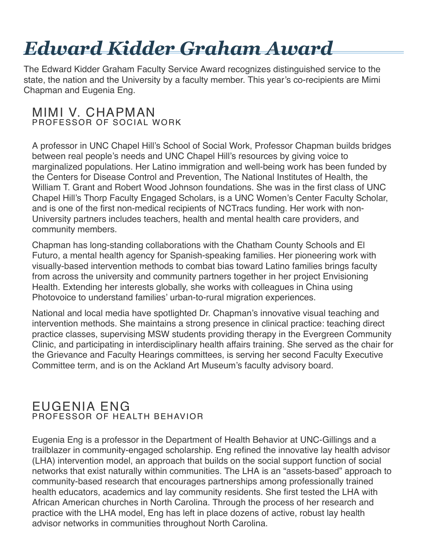## *Edward Kidder Graham Award*

The Edward Kidder Graham Faculty Service Award recognizes distinguished service to the state, the nation and the University by a faculty member. This year's co-recipients are Mimi Chapman and Eugenia Eng.

## MIMI V. CHAPMAN PROFESSOR OF SOCIAL WORK

A professor in UNC Chapel Hill's School of Social Work, Professor Chapman builds bridges between real people's needs and UNC Chapel Hill's resources by giving voice to marginalized populations. Her Latino immigration and well-being work has been funded by the Centers for Disease Control and Prevention, The National Institutes of Health, the William T. Grant and Robert Wood Johnson foundations. She was in the first class of UNC Chapel Hill's Thorp Faculty Engaged Scholars, is a UNC Women's Center Faculty Scholar, and is one of the first non-medical recipients of NCTracs funding. Her work with non-University partners includes teachers, health and mental health care providers, and community members.

Chapman has long-standing collaborations with the Chatham County Schools and El Futuro, a mental health agency for Spanish-speaking families. Her pioneering work with visually-based intervention methods to combat bias toward Latino families brings faculty from across the university and community partners together in her project Envisioning Health. Extending her interests globally, she works with colleagues in China using Photovoice to understand families' urban-to-rural migration experiences.

National and local media have spotlighted Dr. Chapman's innovative visual teaching and intervention methods. She maintains a strong presence in clinical practice: teaching direct practice classes, supervising MSW students providing therapy in the Evergreen Community Clinic, and participating in interdisciplinary health affairs training. She served as the chair for the Grievance and Faculty Hearings committees, is serving her second Faculty Executive Committee term, and is on the Ackland Art Museum's faculty advisory board.

## EUGENIA ENG PROFESSOR OF HEALTH BEHAVIOR

Eugenia Eng is a professor in the Department of Health Behavior at UNC-Gillings and a trailblazer in community-engaged scholarship. Eng refined the innovative lay health advisor (LHA) intervention model, an approach that builds on the social support function of social networks that exist naturally within communities. The LHA is an "assets-based" approach to community-based research that encourages partnerships among professionally trained health educators, academics and lay community residents. She first tested the LHA with African American churches in North Carolina. Through the process of her research and practice with the LHA model, Eng has left in place dozens of active, robust lay health advisor networks in communities throughout North Carolina.